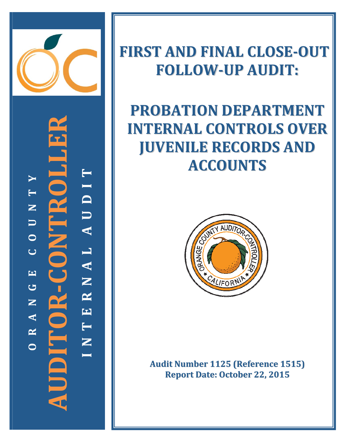

**‐CONTROLLER TYIT D N** F **U U A**  $\mathbf{Z}$ **O CL A**  $O$   $R - C$ **EN G R AUDITOR NE A T R N OI**

## **FIRST AND FINAL CLOSE‐OUT FOLLOW‐UP AUDIT:**

# **PROBATION DEPARTMENT INTERNAL CONTROLS OVER JUVENILE RECORDS AND ACCOUNTS**



**Audit Number 1125 (Reference 1515) Report Date: October 22, 2015**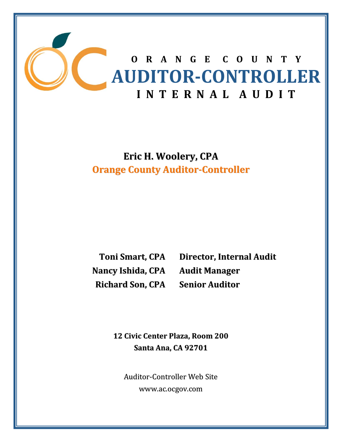

**Eric H. Woolery, CPA Orange County Auditor‐Controller**

**Nancy Ishida, CPA Richard Son, CPA**

**Toni Smart, CPA Director, Internal Audit Audit Manager Senior Auditor**

**12 Civic Center Plaza, Room 200 Santa Ana, CA 92701**

Auditor‐Controller Web Site www.ac.ocgov.com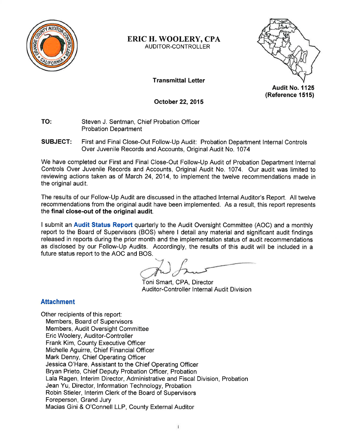

#### **ERIC H. WOOLERY, CPA AUDITOR-CONTROLLER**

**Transmittal Letter** 

**Audit No. 1125** (Reference 1515)

October 22, 2015

- TO: Steven J. Sentman. Chief Probation Officer **Probation Department**
- **SUBJECT:** First and Final Close-Out Follow-Up Audit: Probation Department Internal Controls Over Juvenile Records and Accounts, Original Audit No. 1074

We have completed our First and Final Close-Out Follow-Up Audit of Probation Department Internal Controls Over Juvenile Records and Accounts, Original Audit No. 1074. Our audit was limited to reviewing actions taken as of March 24, 2014, to implement the twelve recommendations made in the original audit.

The results of our Follow-Up Audit are discussed in the attached Internal Auditor's Report. All twelve recommendations from the original audit have been implemented. As a result, this report represents the final close-out of the original audit.

I submit an Audit Status Report quarterly to the Audit Oversight Committee (AOC) and a monthly report to the Board of Supervisors (BOS) where I detail any material and significant audit findings released in reports during the prior month and the implementation status of audit recommendations as disclosed by our Follow-Up Audits. Accordingly, the results of this audit will be included in a future status report to the AOC and BOS.

Toni Smart, CPA, Director Auditor-Controller Internal Audit Division

### **Attachment**

Other recipients of this report: Members, Board of Supervisors Members, Audit Oversight Committee Eric Woolery, Auditor-Controller Frank Kim, County Executive Officer Michelle Aquirre, Chief Financial Officer Mark Denny, Chief Operating Officer Jessica O'Hare, Assistant to the Chief Operating Officer Bryan Prieto, Chief Deputy Probation Officer, Probation Lala Ragen, Interim Director, Administrative and Fiscal Division, Probation Jean Yu, Director, Information Technology, Probation Robin Stieler, Interim Clerk of the Board of Supervisors Foreperson, Grand Jury Macias Gini & O'Connell LLP, County External Auditor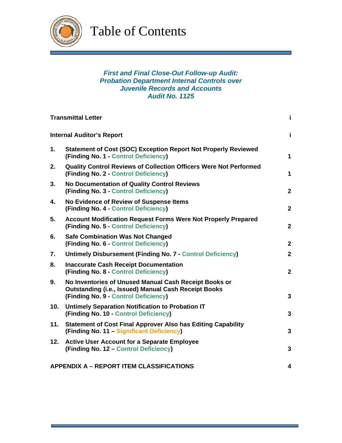

Table of Contents

#### *First and Final Close-Out Follow-up Audit: Probation Department Internal Controls over Juvenile Records and Accounts Audit No. 1125*

|                                  | <b>Transmittal Letter</b>                                                                                                                                    | j.             |
|----------------------------------|--------------------------------------------------------------------------------------------------------------------------------------------------------------|----------------|
| <b>Internal Auditor's Report</b> |                                                                                                                                                              | j.             |
| 1.                               | <b>Statement of Cost (SOC) Exception Report Not Properly Reviewed</b><br>(Finding No. 1 - Control Deficiency)                                                | $\mathbf{1}$   |
| 2.                               | <b>Quality Control Reviews of Collection Officers Were Not Performed</b><br>(Finding No. 2 - Control Deficiency)                                             | $\mathbf{1}$   |
| 3.                               | <b>No Documentation of Quality Control Reviews</b><br>(Finding No. 3 - Control Deficiency)                                                                   | $\mathbf{2}$   |
| 4.                               | <b>No Evidence of Review of Suspense Items</b><br>(Finding No. 4 - Control Deficiency)                                                                       | $\mathbf{2}$   |
| 5.                               | <b>Account Modification Request Forms Were Not Properly Prepared</b><br>(Finding No. 5 - Control Deficiency)                                                 | $\mathbf{2}$   |
| 6.                               | <b>Safe Combination Was Not Changed</b><br>(Finding No. 6 - Control Deficiency)                                                                              | $\mathbf{2}$   |
| 7.                               | Untimely Disbursement (Finding No. 7 - Control Deficiency)                                                                                                   | $\mathbf{2}$   |
| 8.                               | <b>Inaccurate Cash Receipt Documentation</b><br>(Finding No. 8 - Control Deficiency)                                                                         | $\overline{2}$ |
| 9.                               | No Inventories of Unused Manual Cash Receipt Books or<br><b>Outstanding (i.e., Issued) Manual Cash Receipt Books</b><br>(Finding No. 9 - Control Deficiency) | 3              |
| 10.                              | Untimely Separation Notification to Probation IT<br>(Finding No. 10 - Control Deficiency)                                                                    | $\mathbf{3}$   |
| 11.                              | <b>Statement of Cost Final Approver Also has Editing Capability</b><br>(Finding No. 11 - Significant Deficiency)                                             | $\mathbf{3}$   |
| 12.                              | <b>Active User Account for a Separate Employee</b><br>(Finding No. 12 – Control Deficiency)                                                                  | $\mathbf{3}$   |
|                                  | <b>APPENDIX A - REPORT ITEM CLASSIFICATIONS</b>                                                                                                              |                |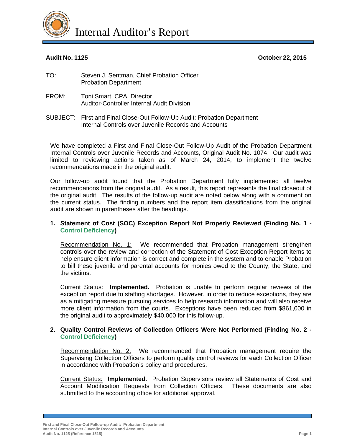

Internal Auditor's Report

**Audit No. 1125 October 22, 2015** 

- TO: Steven J. Sentman, Chief Probation Officer Probation Department
- FROM: Toni Smart, CPA, Director Auditor-Controller Internal Audit Division
- SUBJECT: First and Final Close-Out Follow-Up Audit: Probation Department Internal Controls over Juvenile Records and Accounts

We have completed a First and Final Close-Out Follow-Up Audit of the Probation Department Internal Controls over Juvenile Records and Accounts, Original Audit No. 1074. Our audit was limited to reviewing actions taken as of March 24, 2014, to implement the twelve recommendations made in the original audit.

Our follow-up audit found that the Probation Department fully implemented all twelve recommendations from the original audit. As a result, this report represents the final closeout of the original audit. The results of the follow-up audit are noted below along with a comment on the current status. The finding numbers and the report item classifications from the original audit are shown in parentheses after the headings.

#### **1. Statement of Cost (SOC) Exception Report Not Properly Reviewed (Finding No. 1 - Control Deficiency)**

Recommendation No. 1:We recommended that Probation management strengthen controls over the review and correction of the Statement of Cost Exception Report items to help ensure client information is correct and complete in the system and to enable Probation to bill these juvenile and parental accounts for monies owed to the County, the State, and the victims.

Current Status: **Implemented.** Probation is unable to perform regular reviews of the exception report due to staffing shortages. However, in order to reduce exceptions, they are as a mitigating measure pursuing services to help research information and will also receive more client information from the courts. Exceptions have been reduced from \$861,000 in the original audit to approximately \$40,000 for this follow-up.

#### **2. Quality Control Reviews of Collection Officers Were Not Performed (Finding No. 2 - Control Deficiency)**

Recommendation No. 2:We recommended that Probation management require the Supervising Collection Officers to perform quality control reviews for each Collection Officer in accordance with Probation's policy and procedures.

Current Status: **Implemented.** Probation Supervisors review all Statements of Cost and Account Modification Requests from Collection Officers. These documents are also submitted to the accounting office for additional approval.

**First and Final Close-Out Follow-up Audit: Probation Department Internal Controls over Juvenile Records and Accounts Audit No. 1125 (Reference 1515) Page 1**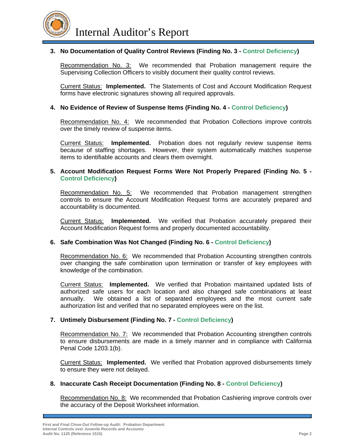

Internal Auditor's Report

#### **3. No Documentation of Quality Control Reviews (Finding No. 3 - Control Deficiency)**

Recommendation No. 3:We recommended that Probation management require the Supervising Collection Officers to visibly document their quality control reviews.

Current Status: **Implemented.** The Statements of Cost and Account Modification Request forms have electronic signatures showing all required approvals.

#### **4. No Evidence of Review of Suspense Items (Finding No. 4 - Control Deficiency)**

Recommendation No. 4:We recommended that Probation Collections improve controls over the timely review of suspense items.

Current Status: **Implemented.** Probation does not regularly review suspense items because of staffing shortages. However, their system automatically matches suspense items to identifiable accounts and clears them overnight.

#### **5. Account Modification Request Forms Were Not Properly Prepared (Finding No. 5 - Control Deficiency)**

Recommendation No. 5:We recommended that Probation management strengthen controls to ensure the Account Modification Request forms are accurately prepared and accountability is documented.

Current Status: **Implemented.** We verified that Probation accurately prepared their Account Modification Request forms and properly documented accountability.

#### **6. Safe Combination Was Not Changed (Finding No. 6 - Control Deficiency)**

Recommendation No. 6:We recommended that Probation Accounting strengthen controls over changing the safe combination upon termination or transfer of key employees with knowledge of the combination.

Current Status: **Implemented.** We verified that Probation maintained updated lists of authorized safe users for each location and also changed safe combinations at least annually. We obtained a list of separated employees and the most current safe authorization list and verified that no separated employees were on the list.

#### **7. Untimely Disbursement (Finding No. 7 - Control Deficiency)**

Recommendation No. 7:We recommended that Probation Accounting strengthen controls to ensure disbursements are made in a timely manner and in compliance with California Penal Code 1203.1(b).

Current Status: **Implemented.** We verified that Probation approved disbursements timely to ensure they were not delayed.

#### **8. Inaccurate Cash Receipt Documentation (Finding No. 8 - Control Deficiency)**

Recommendation No. 8:We recommended that Probation Cashiering improve controls over the accuracy of the Deposit Worksheet information.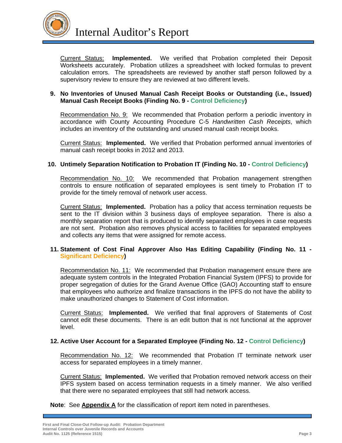

Current Status: **Implemented.** We verified that Probation completed their Deposit Worksheets accurately. Probation utilizes a spreadsheet with locked formulas to prevent calculation errors. The spreadsheets are reviewed by another staff person followed by a supervisory review to ensure they are reviewed at two different levels.

#### **9. No Inventories of Unused Manual Cash Receipt Books or Outstanding (i.e., Issued) Manual Cash Receipt Books (Finding No. 9 - Control Deficiency)**

Recommendation No. 9:We recommended that Probation perform a periodic inventory in accordance with County Accounting Procedure C-5 *Handwritten Cash Receipts*, which includes an inventory of the outstanding and unused manual cash receipt books.

Current Status: **Implemented.** We verified that Probation performed annual inventories of manual cash receipt books in 2012 and 2013.

#### **10. Untimely Separation Notification to Probation IT (Finding No. 10 - Control Deficiency)**

Recommendation No. 10:We recommended that Probation management strengthen controls to ensure notification of separated employees is sent timely to Probation IT to provide for the timely removal of network user access.

Current Status: **Implemented.** Probation has a policy that access termination requests be sent to the IT division within 3 business days of employee separation. There is also a monthly separation report that is produced to identify separated employees in case requests are not sent. Probation also removes physical access to facilities for separated employees and collects any items that were assigned for remote access.

#### **11. Statement of Cost Final Approver Also Has Editing Capability (Finding No. 11 - Significant Deficiency)**

Recommendation No. 11:We recommended that Probation management ensure there are adequate system controls in the Integrated Probation Financial System (IPFS) to provide for proper segregation of duties for the Grand Avenue Office (GAO) Accounting staff to ensure that employees who authorize and finalize transactions in the IPFS do not have the ability to make unauthorized changes to Statement of Cost information.

Current Status: **Implemented.** We verified that final approvers of Statements of Cost cannot edit these documents. There is an edit button that is not functional at the approver level.

#### **12. Active User Account for a Separated Employee (Finding No. 12 - Control Deficiency)**

Recommendation No. 12:We recommended that Probation IT terminate network user access for separated employees in a timely manner.

Current Status: **Implemented.** We verified that Probation removed network access on their IPFS system based on access termination requests in a timely manner. We also verified that there were no separated employees that still had network access.

**Note**: See **Appendix A** for the classification of report item noted in parentheses.